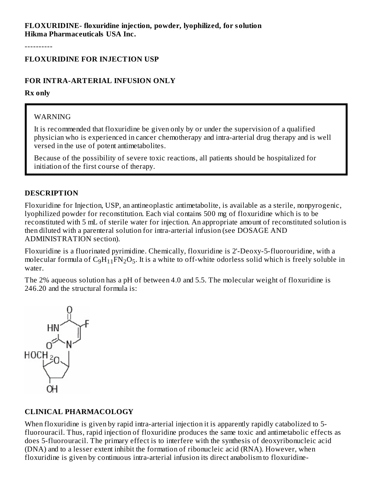### **FLOXURIDINE- floxuridine injection, powder, lyophilized, for solution Hikma Pharmaceuticals USA Inc.**

----------

#### **FLOXURIDINE FOR INJECTION USP**

### **FOR INTRA-ARTERIAL INFUSION ONLY**

**Rx only**

#### WARNING

It is recommended that floxuridine be given only by or under the supervision of a qualified physician who is experienced in cancer chemotherapy and intra-arterial drug therapy and is well versed in the use of potent antimetabolites.

Because of the possibility of severe toxic reactions, all patients should be hospitalized for initiation of the first course of therapy.

#### **DESCRIPTION**

Floxuridine for Injection, USP, an antineoplastic antimetabolite, is available as a sterile, nonpyrogenic, lyophilized powder for reconstitution. Each vial contains 500 mg of floxuridine which is to be reconstituted with 5 mL of sterile water for injection. An appropriate amount of reconstituted solution is then diluted with a parenteral solution for intra-arterial infusion (see DOSAGE AND ADMINISTRATION section).

Floxuridine is a fluorinated pyrimidine. Chemically, floxuridine is 2'-Deoxy-5-fluorouridine, with a molecular formula of  $\rm{C_9H_{11}FN_2O_5}$ . It is a white to off-white odorless solid which is freely soluble in water.

The 2% aqueous solution has a pH of between 4.0 and 5.5. The molecular weight of floxuridine is 246.20 and the structural formula is:



### **CLINICAL PHARMACOLOGY**

When floxuridine is given by rapid intra-arterial injection it is apparently rapidly catabolized to 5 fluorouracil. Thus, rapid injection of floxuridine produces the same toxic and antimetabolic effects as does 5-fluorouracil. The primary effect is to interfere with the synthesis of deoxyribonucleic acid (DNA) and to a lesser extent inhibit the formation of ribonucleic acid (RNA). However, when floxuridine is given by continuous intra-arterial infusion its direct anabolism to floxuridine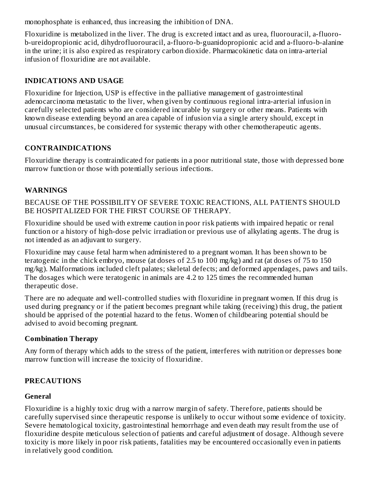monophosphate is enhanced, thus increasing the inhibition of DNA.

Floxuridine is metabolized in the liver. The drug is excreted intact and as urea, fluorouracil, a-fluorob-ureidopropionic acid, dihydrofluorouracil, a-fluoro-b-guanidopropionic acid and a-fluoro-b-alanine in the urine; it is also expired as respiratory carbon dioxide. Pharmacokinetic data on intra-arterial infusion of floxuridine are not available.

## **INDICATIONS AND USAGE**

Floxuridine for Injection, USP is effective in the palliative management of gastrointestinal adenocarcinoma metastatic to the liver, when given by continuous regional intra-arterial infusion in carefully selected patients who are considered incurable by surgery or other means. Patients with known disease extending beyond an area capable of infusion via a single artery should, except in unusual circumstances, be considered for systemic therapy with other chemotherapeutic agents.

### **CONTRAINDICATIONS**

Floxuridine therapy is contraindicated for patients in a poor nutritional state, those with depressed bone marrow function or those with potentially serious infections.

### **WARNINGS**

BECAUSE OF THE POSSIBILITY OF SEVERE TOXIC REACTIONS, ALL PATIENTS SHOULD BE HOSPITALIZED FOR THE FIRST COURSE OF THERAPY.

Floxuridine should be used with extreme caution in poor risk patients with impaired hepatic or renal function or a history of high-dose pelvic irradiation or previous use of alkylating agents. The drug is not intended as an adjuvant to surgery.

Floxuridine may cause fetal harm when administered to a pregnant woman. It has been shown to be teratogenic in the chick embryo, mouse (at doses of 2.5 to 100 mg/kg) and rat (at doses of 75 to 150 mg/kg). Malformations included cleft palates; skeletal defects; and deformed appendages, paws and tails. The dosages which were teratogenic in animals are 4.2 to 125 times the recommended human therapeutic dose.

There are no adequate and well-controlled studies with floxuridine in pregnant women. If this drug is used during pregnancy or if the patient becomes pregnant while taking (receiving) this drug, the patient should be apprised of the potential hazard to the fetus. Women of childbearing potential should be advised to avoid becoming pregnant.

### **Combination Therapy**

Any form of therapy which adds to the stress of the patient, interferes with nutrition or depresses bone marrow function will increase the toxicity of floxuridine.

## **PRECAUTIONS**

### **General**

Floxuridine is a highly toxic drug with a narrow margin of safety. Therefore, patients should be carefully supervised since therapeutic response is unlikely to occur without some evidence of toxicity. Severe hematological toxicity, gastrointestinal hemorrhage and even death may result from the use of floxuridine despite meticulous selection of patients and careful adjustment of dosage. Although severe toxicity is more likely in poor risk patients, fatalities may be encountered occasionally even in patients in relatively good condition.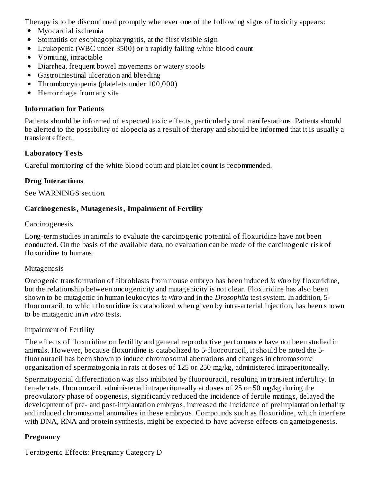Therapy is to be discontinued promptly whenever one of the following signs of toxicity appears:

- Myocardial ischemia
- Stomatitis or esophagopharyngitis, at the first visible sign
- Leukopenia (WBC under 3500) or a rapidly falling white blood count
- Vomiting, intractable
- Diarrhea, frequent bowel movements or watery stools
- Gastrointestinal ulceration and bleeding
- Thrombocytopenia (platelets under 100,000)
- Hemorrhage from any site  $\bullet$

## **Information for Patients**

Patients should be informed of expected toxic effects, particularly oral manifestations. Patients should be alerted to the possibility of alopecia as a result of therapy and should be informed that it is usually a transient effect.

## **Laboratory Tests**

Careful monitoring of the white blood count and platelet count is recommended.

# **Drug Interactions**

See WARNINGS section.

# **Carcinogenesis, Mutagenesis, Impairment of Fertility**

## Carcinogenesis

Long-term studies in animals to evaluate the carcinogenic potential of floxuridine have not been conducted. On the basis of the available data, no evaluation can be made of the carcinogenic risk of floxuridine to humans.

## Mutagenesis

Oncogenic transformation of fibroblasts from mouse embryo has been induced *in vitro* by floxuridine, but the relationship between oncogenicity and mutagenicity is not clear. Floxuridine has also been shown to be mutagenic in human leukocytes *in vitro* and in the *Drosophila* test system. In addition, 5 fluorouracil, to which floxuridine is catabolized when given by intra-arterial injection, has been shown to be mutagenic in *in vitro* tests.

## Impairment of Fertility

The effects of floxuridine on fertility and general reproductive performance have not been studied in animals. However, because floxuridine is catabolized to 5-fluorouracil, it should be noted the 5 fluorouracil has been shown to induce chromosomal aberrations and changes in chromosome organization of spermatogonia in rats at doses of 125 or 250 mg/kg, administered intraperitoneally.

Spermatogonial differentiation was also inhibited by fluorouracil, resulting in transient infertility. In female rats, fluorouracil, administered intraperitoneally at doses of 25 or 50 mg/kg during the preovulatory phase of oogenesis, significantly reduced the incidence of fertile matings, delayed the development of pre- and post-implantation embryos, increased the incidence of preimplantation lethality and induced chromosomal anomalies in these embryos. Compounds such as floxuridine, which interfere with DNA, RNA and protein synthesis, might be expected to have adverse effects on gametogenesis.

# **Pregnancy**

Teratogenic Effects: Pregnancy Category D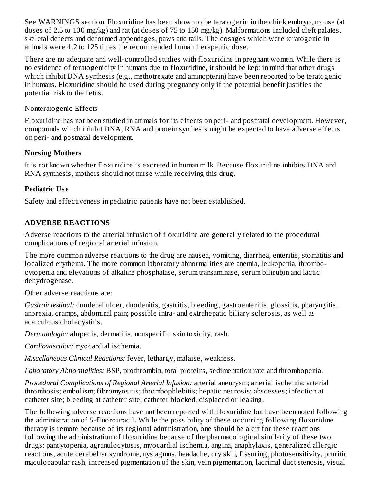See WARNINGS section. Floxuridine has been shown to be teratogenic in the chick embryo, mouse (at doses of 2.5 to 100 mg/kg) and rat (at doses of 75 to 150 mg/kg). Malformations included cleft palates, skeletal defects and deformed appendages, paws and tails. The dosages which were teratogenic in animals were 4.2 to 125 times the recommended human therapeutic dose.

There are no adequate and well-controlled studies with floxuridine in pregnant women. While there is no evidence of teratogenicity in humans due to floxuridine, it should be kept in mind that other drugs which inhibit DNA synthesis (e.g., methotrexate and aminopterin) have been reported to be teratogenic in humans. Floxuridine should be used during pregnancy only if the potential benefit justifies the potential risk to the fetus.

### Nonteratogenic Effects

Floxuridine has not been studied in animals for its effects on peri- and postnatal development. However, compounds which inhibit DNA, RNA and protein synthesis might be expected to have adverse effects on peri- and postnatal development.

## **Nursing Mothers**

It is not known whether floxuridine is excreted in human milk. Because floxuridine inhibits DNA and RNA synthesis, mothers should not nurse while receiving this drug.

## **Pediatric Us e**

Safety and effectiveness in pediatric patients have not been established.

# **ADVERSE REACTIONS**

Adverse reactions to the arterial infusion of floxuridine are generally related to the procedural complications of regional arterial infusion.

The more common adverse reactions to the drug are nausea, vomiting, diarrhea, enteritis, stomatitis and localized erythema. The more common laboratory abnormalities are anemia, leukopenia, thrombocytopenia and elevations of alkaline phosphatase, serum transaminase, serum bilirubin and lactic dehydrogenase.

Other adverse reactions are:

*Gastrointestinal:* duodenal ulcer, duodenitis, gastritis, bleeding, gastroenteritis, glossitis, pharyngitis, anorexia, cramps, abdominal pain; possible intra- and extrahepatic biliary sclerosis, as well as acalculous cholecystitis.

*Dermatologic:* alopecia, dermatitis, nonspecific skin toxicity, rash.

*Cardiovascular:* myocardial ischemia.

*Miscellaneous Clinical Reactions:* fever, lethargy, malaise, weakness.

*Laboratory Abnormalities:* BSP, prothrombin, total proteins, sedimentation rate and thrombopenia.

*Procedural Complications of Regional Arterial Infusion:* arterial aneurysm; arterial ischemia; arterial thrombosis; embolism; fibromyositis; thrombophlebitis; hepatic necrosis; abscesses; infection at catheter site; bleeding at catheter site; catheter blocked, displaced or leaking.

The following adverse reactions have not been reported with floxuridine but have been noted following the administration of 5-fluorouracil. While the possibility of these occurring following floxuridine therapy is remote because of its regional administration, one should be alert for these reactions following the administration of floxuridine because of the pharmacological similarity of these two drugs: pancytopenia, agranulocytosis, myocardial ischemia, angina, anaphylaxis, generalized allergic reactions, acute cerebellar syndrome, nystagmus, headache, dry skin, fissuring, photosensitivity, pruritic maculopapular rash, increased pigmentation of the skin, vein pigmentation, lacrimal duct stenosis, visual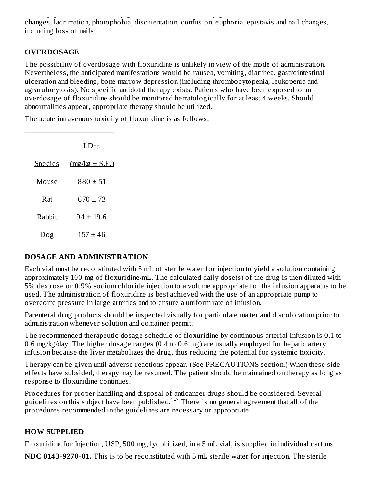maculopapular rash, increased pigmentation of the skin, vein pigmentation, lacrimal duct stenosis, visual changes, lacrimation, photophobia, disorientation, confusion, euphoria, epistaxis and nail changes, including loss of nails.

# **OVERDOSAGE**

The possibility of overdosage with floxuridine is unlikely in view of the mode of administration. Nevertheless, the anticipated manifestations would be nausea, vomiting, diarrhea, gastrointestinal ulceration and bleeding, bone marrow depression (including thrombocytopenia, leukopenia and agranulocytosis). No specific antidotal therapy exists. Patients who have been exposed to an overdosage of floxuridine should be monitored hematologically for at least 4 weeks. Should abnormalities appear, appropriate therapy should be utilized.

The acute intravenous toxicity of floxuridine is as follows:

|             | $LD_{50}$                  |  |  |  |  |
|-------------|----------------------------|--|--|--|--|
|             | Species $(mg/kg \pm S.E.)$ |  |  |  |  |
| Mouse       | $880 \pm 51$               |  |  |  |  |
| <b>R</b> at | $670 \pm 73$               |  |  |  |  |
| Rabbit      | $94 \pm 19.6$              |  |  |  |  |
| Jog         | $157 + 46$                 |  |  |  |  |

## **DOSAGE AND ADMINISTRATION**

Each vial must be reconstituted with 5 mL of sterile water for injection to yield a solution containing approximately 100 mg of floxuridine/mL. The calculated daily dose(s) of the drug is then diluted with 5% dextrose or 0.9% sodium chloride injection to a volume appropriate for the infusion apparatus to be used. The administration of floxuridine is best achieved with the use of an appropriate pump to overcome pressure in large arteries and to ensure a uniform rate of infusion.

Parenteral drug products should be inspected visually for particulate matter and discoloration prior to administration whenever solution and container permit.

The recommended therapeutic dosage schedule of floxuridine by continuous arterial infusion is 0.1 to 0.6 mg/kg/day. The higher dosage ranges (0.4 to 0.6 mg) are usually employed for hepatic artery infusion because the liver metabolizes the drug, thus reducing the potential for systemic toxicity.

Therapy can be given until adverse reactions appear. (See PRECAUTIONS section.) When these side effects have subsided, therapy may be resumed. The patient should be maintained on therapy as long as response to floxuridine continues.

Procedures for proper handling and disposal of anticancer drugs should be considered. Several guidelines on this subject have been published.<sup>1-7</sup> There is no general agreement that all of the procedures recommended in the guidelines are necessary or appropriate.

## **HOW SUPPLIED**

Floxuridine for Injection, USP, 500 mg, lyophilized, in a 5 mL vial, is supplied in individual cartons.

**NDC 0143-9270-01.** This is to be reconstituted with 5 mL sterile water for injection. The sterile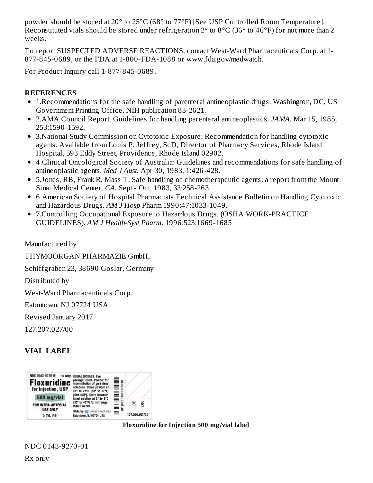powder should be stored at 20° to 25°C (68° to 77°F) [See USP Controlled Room Temperature]. Reconstituted vials should be stored under refrigeration 2° to 8°C (36° to 46°F) for not more than 2 weeks.

To report SUSPECTED ADVERSE REACTIONS, contact West-Ward Pharmaceuticals Corp. at 1- 877-845-0689, or the FDA at 1-800-FDA-1088 or www.fda.gov/medwatch.

For Product Inquiry call 1-877-845-0689.

#### **REFERENCES**

- 1.Recommendations for the safe handling of parenteral antineoplastic drugs. Washington, DC, US Government Printing Office, NIH publication 83-2621.
- 2.AMA Council Report. Guidelines for handling parenteral antineoplastics. *JAMA*. Mar 15, 1985, 253:1590-1592.
- 3.National Study Commission on Cytotoxic Exposure: Recommendation for handling cytotoxic agents. Available from Louis P. Jeffrey, ScD, Director of Pharmacy Services, Rhode Island Hospital, 593 Eddy Street, Providence, Rhode Island 02902.
- 4.Clinical Oncological Society of Australia: Guidelines and recommendations for safe handling of antineoplastic agents. *Med J Aust*. Apr 30, 1983, 1:426-428.
- 5.Jones, RB, Frank R, Mass T: Safe handling of chemotherapeutic agents: a report from the Mount Sinai Medical Center. *CA.* Sept - Oct, 1983, 33:258-263.
- 6.American Society of Hospital Pharmacists Technical Assistance Bulletin on Handling Cytotoxic and Hazardous Drugs. *AM J Hosp* Pharm 1990:47:1033-1049.
- 7.Controlling Occupational Exposure to Hazardous Drugs. (OSHA WORK-PRACTICE GUIDELINES). *AM J Health-Syst Pharm*. 1996:523:1669-1685

Manufactured by

THYMOORGAN PHARMAZIE GmbH,

Schiffgraben 23, 38690 Goslar, Germany

Distributed by

West-Ward Pharmaceuticals Corp.

Eatontown, NJ 07724 USA

Revised January 2017

127.207.027/00

## **VIAL LABEL**



**Floxuridine for Injection 500 mg /vial label**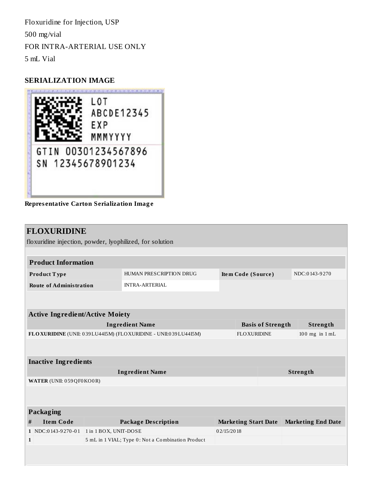Floxuridine for Injection, USP 500 mg/vial FOR INTRA-ARTERIAL USE ONLY 5 mL Vial

### **SERIALIZATION IMAGE**



**Repres entative Carton Serialization Imag e**

|                                                                | <b>FLOXURIDINE</b>             |                       |                                                   |                          |                             |  |                           |               |  |  |
|----------------------------------------------------------------|--------------------------------|-----------------------|---------------------------------------------------|--------------------------|-----------------------------|--|---------------------------|---------------|--|--|
| floxuridine injection, powder, lyophilized, for solution       |                                |                       |                                                   |                          |                             |  |                           |               |  |  |
|                                                                |                                |                       |                                                   |                          |                             |  |                           |               |  |  |
| <b>Product Information</b>                                     |                                |                       |                                                   |                          |                             |  |                           |               |  |  |
|                                                                | Product Type                   |                       | HUMAN PRESCRIPTION DRUG                           | Item Code (Source)       |                             |  |                           | NDC:0143-9270 |  |  |
|                                                                | <b>Route of Administration</b> |                       | <b>INTRA-ARTERIAL</b>                             |                          |                             |  |                           |               |  |  |
|                                                                |                                |                       |                                                   |                          |                             |  |                           |               |  |  |
| <b>Active Ingredient/Active Moiety</b>                         |                                |                       |                                                   |                          |                             |  |                           |               |  |  |
| <b>Ingredient Name</b>                                         |                                |                       |                                                   | <b>Basis of Strength</b> |                             |  | Strength                  |               |  |  |
| FLOXURIDINE (UNII: 039LU44I5M) (FLOXURIDINE - UNII:039LU44I5M) |                                |                       |                                                   | <b>FLOXURIDINE</b>       |                             |  | $100$ mg in $1$ mL        |               |  |  |
|                                                                |                                |                       |                                                   |                          |                             |  |                           |               |  |  |
| <b>Inactive Ingredients</b>                                    |                                |                       |                                                   |                          |                             |  |                           |               |  |  |
| <b>Ingredient Name</b>                                         |                                |                       |                                                   |                          | Strength                    |  |                           |               |  |  |
| WATER (UNII: 059QF0KO0R)                                       |                                |                       |                                                   |                          |                             |  |                           |               |  |  |
|                                                                |                                |                       |                                                   |                          |                             |  |                           |               |  |  |
|                                                                |                                |                       |                                                   |                          |                             |  |                           |               |  |  |
| Packaging                                                      |                                |                       |                                                   |                          |                             |  |                           |               |  |  |
| #                                                              | <b>Item Code</b>               |                       | <b>Package Description</b>                        |                          | <b>Marketing Start Date</b> |  | <b>Marketing End Date</b> |               |  |  |
|                                                                | 1 NDC:0143-9270-01             | 1 in 1 BOX, UNIT-DOSE |                                                   |                          | 02/15/2018                  |  |                           |               |  |  |
| $\mathbf{1}$                                                   |                                |                       | 5 mL in 1 VIAL; Type 0: Not a Combination Product |                          |                             |  |                           |               |  |  |
|                                                                |                                |                       |                                                   |                          |                             |  |                           |               |  |  |
|                                                                |                                |                       |                                                   |                          |                             |  |                           |               |  |  |